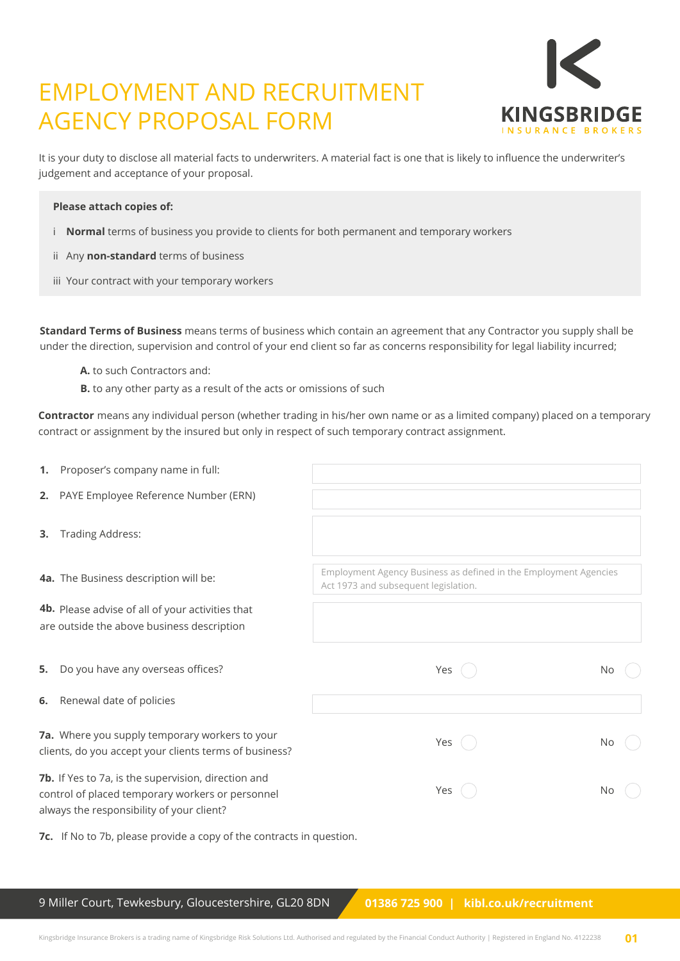# EMPLOYMENT AND RECRUITMENT AGENCY PROPOSAL FORM



It is your duty to disclose all material facts to underwriters. A material fact is one that is likely to influence the underwriter's judgement and acceptance of your proposal.

### **Please attach copies of:**

- i **Normal** terms of business you provide to clients for both permanent and temporary workers
- ii Any **non-standard** terms of business
- iii Your contract with your temporary workers

**Standard Terms of Business** means terms of business which contain an agreement that any Contractor you supply shall be under the direction, supervision and control of your end client so far as concerns responsibility for legal liability incurred;

- **A.** to such Contractors and:
- **B.** to any other party as a result of the acts or omissions of such

**Contractor** means any individual person (whether trading in his/her own name or as a limited company) placed on a temporary contract or assignment by the insured but only in respect of such temporary contract assignment.

| 1. | Proposer's company name in full:                                                                                                                     |                                                                                                          |     |
|----|------------------------------------------------------------------------------------------------------------------------------------------------------|----------------------------------------------------------------------------------------------------------|-----|
|    | 2. PAYE Employee Reference Number (ERN)                                                                                                              |                                                                                                          |     |
| 3. | <b>Trading Address:</b>                                                                                                                              |                                                                                                          |     |
|    | 4a. The Business description will be:                                                                                                                | Employment Agency Business as defined in the Employment Agencies<br>Act 1973 and subsequent legislation. |     |
|    | 4b. Please advise of all of your activities that<br>are outside the above business description                                                       |                                                                                                          |     |
| 5. | Do you have any overseas offices?                                                                                                                    | Yes                                                                                                      | No. |
| 6. | Renewal date of policies                                                                                                                             |                                                                                                          |     |
|    | 7a. Where you supply temporary workers to your<br>clients, do you accept your clients terms of business?                                             | Yes (                                                                                                    | No  |
|    | 7b. If Yes to 7a, is the supervision, direction and<br>control of placed temporary workers or personnel<br>always the responsibility of your client? | Yes                                                                                                      | No  |

**7c.** If No to 7b, please provide a copy of the contracts in question.

9 Miller Court, Tewkesbury, Gloucestershire, GL20 8DN **01386 725 900 | kibl.co.uk/recruitment**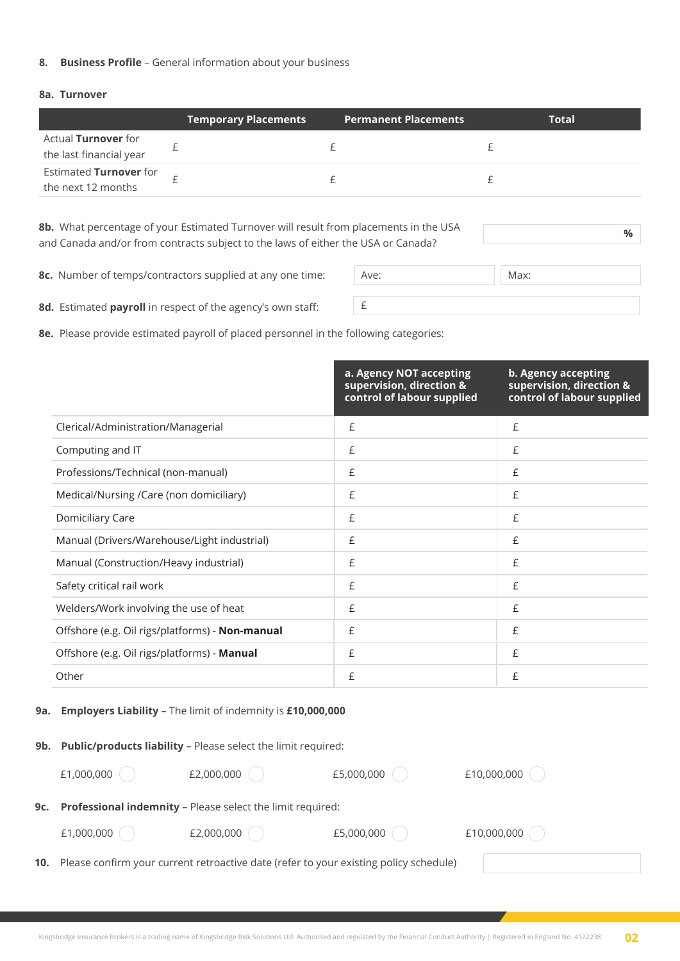#### **8. Business Profile** – General information about your business

## **8a. Turnover**

|                                                       | <b>Temporary Placements</b> | <b>Permanent Placements</b> | <b>Total</b> |
|-------------------------------------------------------|-----------------------------|-----------------------------|--------------|
| Actual <b>Turnover</b> for<br>the last financial year |                             |                             |              |
| Estimated Turnover for<br>the next 12 months          |                             |                             |              |

**8b.** What percentage of your Estimated Turnover will result from placements in the USA and Canada and/or from contracts subject to the laws of either the USA or Canada?

**%**

**8c.** Number of temps/contractors supplied at any one time:

| Ave: | Max: |
|------|------|
|      |      |

**8d.** Estimated **payroll** in respect of the agency's own staff:

**8e.** Please provide estimated payroll of placed personnel in the following categories:

|                                                 | a. Agency NOT accepting<br>supervision, direction &<br>control of labour supplied | b. Agency accepting<br>supervision, direction &<br>control of labour supplied |
|-------------------------------------------------|-----------------------------------------------------------------------------------|-------------------------------------------------------------------------------|
| Clerical/Administration/Managerial              | £                                                                                 | £                                                                             |
| Computing and IT                                | £                                                                                 | £                                                                             |
| Professions/Technical (non-manual)              | £                                                                                 | £                                                                             |
| Medical/Nursing /Care (non domiciliary)         | £                                                                                 | £                                                                             |
| Domiciliary Care                                | £                                                                                 | £                                                                             |
| Manual (Drivers/Warehouse/Light industrial)     | £                                                                                 | £                                                                             |
| Manual (Construction/Heavy industrial)          | £                                                                                 | £                                                                             |
| Safety critical rail work                       | £                                                                                 | £                                                                             |
| Welders/Work involving the use of heat          | £                                                                                 | £                                                                             |
| Offshore (e.g. Oil rigs/platforms) - Non-manual | £                                                                                 | £                                                                             |
| Offshore (e.g. Oil rigs/platforms) - Manual     | £                                                                                 | £                                                                             |
| Other                                           | £                                                                                 | £                                                                             |

## **9a. Employers Liability** – The limit of indemnity is **£10,000,000**

|     | 9b. Public/products liability - Please select the limit required: |                                                                                                  |            |             |  |
|-----|-------------------------------------------------------------------|--------------------------------------------------------------------------------------------------|------------|-------------|--|
|     | £1,000,000                                                        | £2,000,000                                                                                       | £5,000,000 | £10,000,000 |  |
| 9c. | <b>Professional indemnity - Please select the limit required:</b> |                                                                                                  |            |             |  |
|     | £1,000,000                                                        | £2,000,000                                                                                       | £5,000,000 | £10,000,000 |  |
|     |                                                                   | <b>10.</b> Please confirm your current retroactive date (refer to your existing policy schedule) |            |             |  |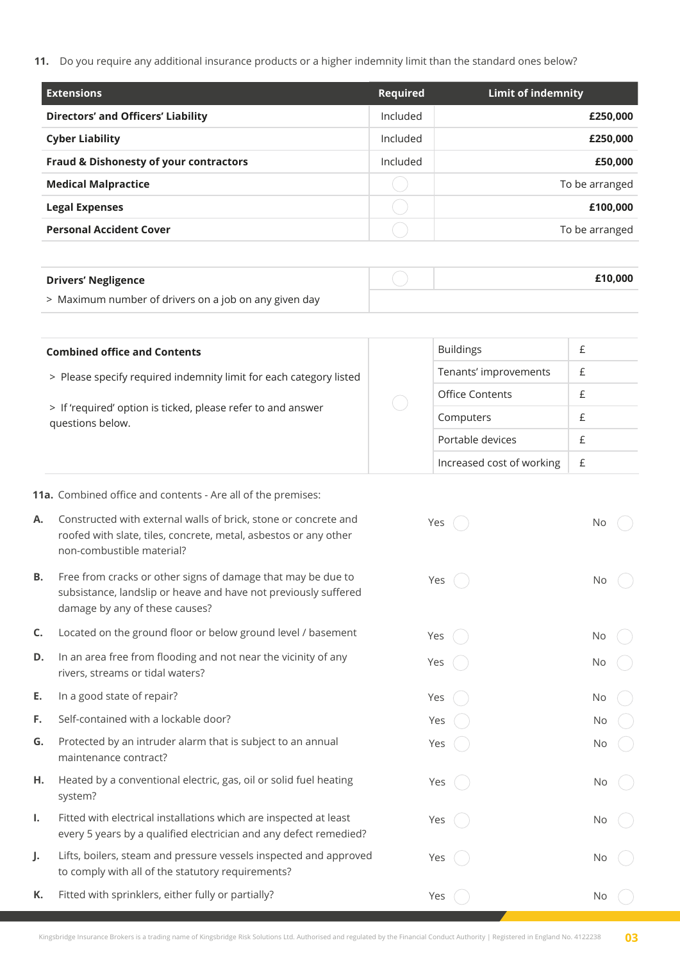**11.** Do you require any additional insurance products or a higher indemnity limit than the standard ones below?

| <b>Extensions</b>                                 | Required | Limit of indemnity |
|---------------------------------------------------|----------|--------------------|
| <b>Directors' and Officers' Liability</b>         | Included | £250,000           |
| <b>Cyber Liability</b>                            | Included | £250,000           |
| <b>Fraud &amp; Dishonesty of your contractors</b> | Included | £50,000            |
| <b>Medical Malpractice</b>                        |          | To be arranged     |
| <b>Legal Expenses</b>                             |          | £100,000           |
| <b>Personal Accident Cover</b>                    |          | To be arranged     |

| <b>Drivers' Negligence</b>                            | £10.000 |
|-------------------------------------------------------|---------|
| > Maximum number of drivers on a job on any given day |         |

| <b>Combined office and Contents</b>                                                                                                                    |  | <b>Buildings</b>          |  |
|--------------------------------------------------------------------------------------------------------------------------------------------------------|--|---------------------------|--|
| > Please specify required indemnity limit for each category listed<br>> If 'required' option is ticked, please refer to and answer<br>questions below. |  | Tenants' improvements     |  |
|                                                                                                                                                        |  | <b>Office Contents</b>    |  |
|                                                                                                                                                        |  | Computers                 |  |
|                                                                                                                                                        |  | Portable devices          |  |
|                                                                                                                                                        |  | Increased cost of working |  |

**11a.** Combined office and contents - Are all of the premises:

- **A.** Constructed with external walls of brick, stone or concrete and roofed with slate, tiles, concrete, metal, asbestos or any other non-combustible material?
- **B.** Free from cracks or other signs of damage that may be due to subsistance, landslip or heave and have not previously suffered damage by any of these causes?
- **C.** Located on the ground floor or below ground level / basement
- **D.** In an area free from flooding and not near the vicinity of any rivers, streams or tidal waters?
- **E.** In a good state of repair?
- **F.** Self-contained with a lockable door?
- **G.** Protected by an intruder alarm that is subject to an annual maintenance contract?
- **H.** Heated by a conventional electric, gas, oil or solid fuel heating system?
- **I.** Fitted with electrical installations which are inspected at least every 5 years by a qualified electrician and any defect remedied?
- **J.** Lifts, boilers, steam and pressure vessels inspected and approved to comply with all of the statutory requirements?
- **K.** Fitted with sprinklers, either fully or partially? Yes No

Yes ( ) No

Yes ( ) No

Yes ( ) No

Yes ( ) No

Yes ( ) No

Yes ( ) No

Yes ( ) No

Yes ( ) No

Yes ( ) No

Yes ( ) No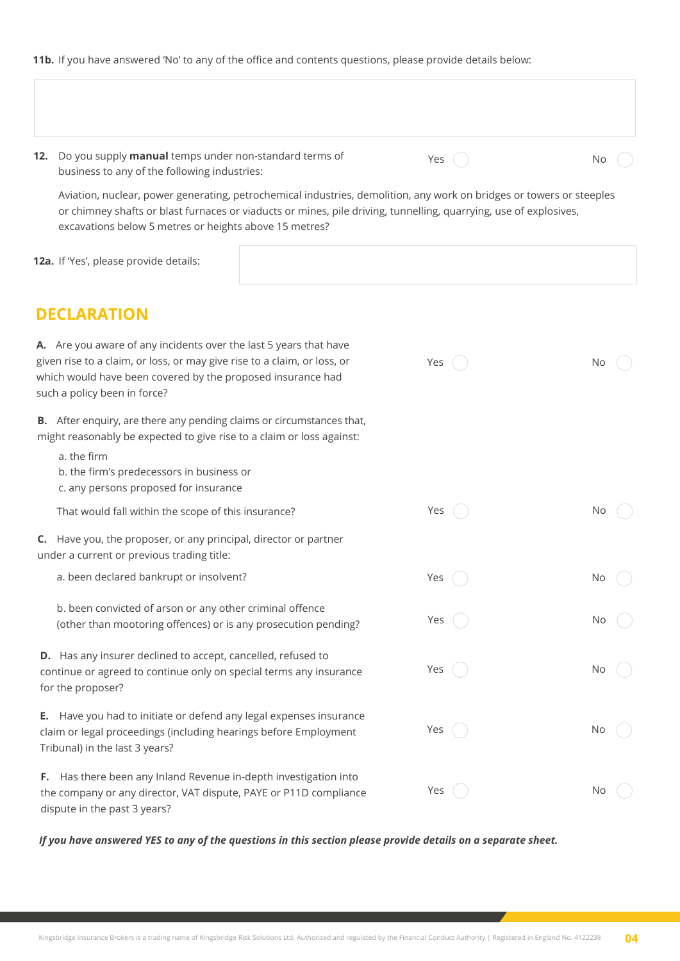**11b.** If you have answered 'No' to any of the office and contents questions, please provide details below:

|    | 12. Do you supply manual temps under non-standard terms of<br>business to any of the following industries:                                                                                                                                                                                          | Yes   | No  |
|----|-----------------------------------------------------------------------------------------------------------------------------------------------------------------------------------------------------------------------------------------------------------------------------------------------------|-------|-----|
|    | Aviation, nuclear, power generating, petrochemical industries, demolition, any work on bridges or towers or steeples<br>or chimney shafts or blast furnaces or viaducts or mines, pile driving, tunnelling, quarrying, use of explosives,<br>excavations below 5 metres or heights above 15 metres? |       |     |
|    | 12a. If 'Yes', please provide details:                                                                                                                                                                                                                                                              |       |     |
|    | <b>DECLARATION</b>                                                                                                                                                                                                                                                                                  |       |     |
|    | A. Are you aware of any incidents over the last 5 years that have<br>given rise to a claim, or loss, or may give rise to a claim, or loss, or<br>which would have been covered by the proposed insurance had<br>such a policy been in force?                                                        | Yes   | No  |
|    | B. After enquiry, are there any pending claims or circumstances that,<br>might reasonably be expected to give rise to a claim or loss against:<br>a. the firm<br>b. the firm's predecessors in business or                                                                                          |       |     |
|    | c. any persons proposed for insurance<br>That would fall within the scope of this insurance?                                                                                                                                                                                                        | Yes   | N0  |
|    | C. Have you, the proposer, or any principal, director or partner<br>under a current or previous trading title:                                                                                                                                                                                      |       |     |
|    | a. been declared bankrupt or insolvent?                                                                                                                                                                                                                                                             | Yes   | No  |
|    | b. been convicted of arson or any other criminal offence<br>(other than mootoring offences) or is any prosecution pending?                                                                                                                                                                          | Yes ( | No  |
|    | D. Has any insurer declined to accept, cancelled, refused to<br>continue or agreed to continue only on special terms any insurance<br>for the proposer?                                                                                                                                             | Yes   | N0  |
| Е. | Have you had to initiate or defend any legal expenses insurance<br>claim or legal proceedings (including hearings before Employment<br>Tribunal) in the last 3 years?                                                                                                                               | Yes ( | No. |
| F. | Has there been any Inland Revenue in-depth investigation into<br>the company or any director, VAT dispute, PAYE or P11D compliance<br>dispute in the past 3 years?                                                                                                                                  | Yes ( | N0  |

*If you have answered YES to any of the questions in this section please provide details on a separate sheet.*